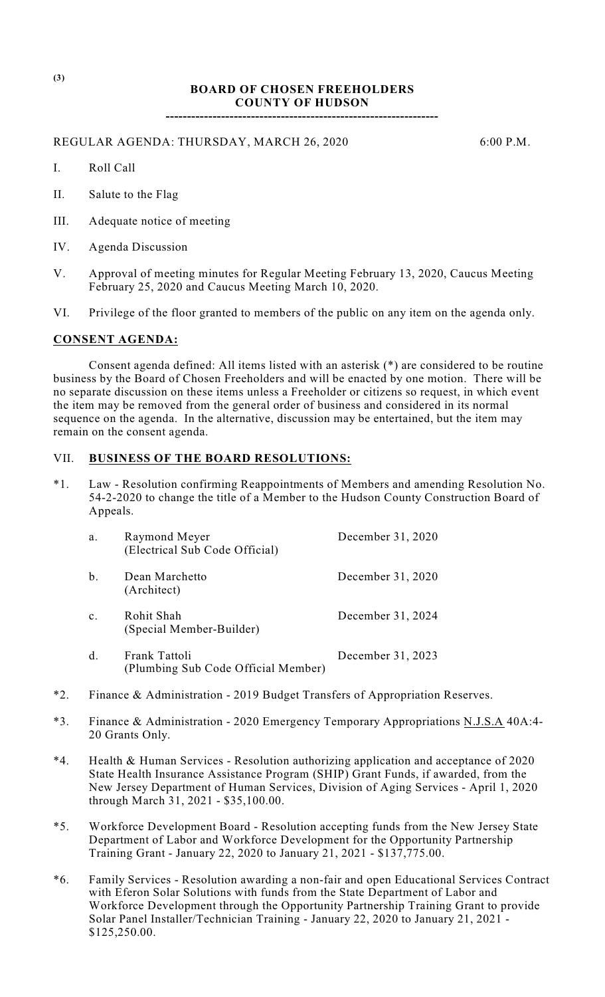## **BOARD OF CHOSEN FREEHOLDERS COUNTY OF HUDSON**

**----------------------------------------------------------------**

REGULAR AGENDA: THURSDAY, MARCH 26, 2020 6:00 P.M.

- I. Roll Call
- II. Salute to the Flag
- III. Adequate notice of meeting
- IV. Agenda Discussion
- V. Approval of meeting minutes for Regular Meeting February 13, 2020, Caucus Meeting February 25, 2020 and Caucus Meeting March 10, 2020.
- VI. Privilege of the floor granted to members of the public on any item on the agenda only.

### **CONSENT AGENDA:**

Consent agenda defined: All items listed with an asterisk (\*) are considered to be routine business by the Board of Chosen Freeholders and will be enacted by one motion. There will be no separate discussion on these items unless a Freeholder or citizens so request, in which event the item may be removed from the general order of business and considered in its normal sequence on the agenda. In the alternative, discussion may be entertained, but the item may remain on the consent agenda.

### VII. **BUSINESS OF THE BOARD RESOLUTIONS:**

\*1. Law - Resolution confirming Reappointments of Members and amending Resolution No. 54-2-2020 to change the title of a Member to the Hudson County Construction Board of Appeals.

| a.             | Raymond Meyer<br>(Electrical Sub Code Official)      | December 31, 2020 |
|----------------|------------------------------------------------------|-------------------|
| $\mathbf b$ .  | Dean Marchetto<br>(Architect)                        | December 31, 2020 |
| $\mathbf{c}$ . | Rohit Shah<br>(Special Member-Builder)               | December 31, 2024 |
| $\mathbf{d}$ . | Frank Tattoli<br>(Plumbing Sub Code Official Member) | December 31, 2023 |

- \*2. Finance & Administration 2019 Budget Transfers of Appropriation Reserves.
- \*3. Finance & Administration 2020 Emergency Temporary Appropriations N.J.S.A 40A:4- 20 Grants Only.
- \*4. Health & Human Services Resolution authorizing application and acceptance of 2020 State Health Insurance Assistance Program (SHIP) Grant Funds, if awarded, from the New Jersey Department of Human Services, Division of Aging Services - April 1, 2020 through March 31, 2021 - \$35,100.00.
- \*5. Workforce Development Board Resolution accepting funds from the New Jersey State Department of Labor and Workforce Development for the Opportunity Partnership Training Grant - January 22, 2020 to January 21, 2021 - \$137,775.00.
- \*6. Family Services Resolution awarding a non-fair and open Educational Services Contract with Eferon Solar Solutions with funds from the State Department of Labor and Workforce Development through the Opportunity Partnership Training Grant to provide Solar Panel Installer/Technician Training - January 22, 2020 to January 21, 2021 - \$125,250.00.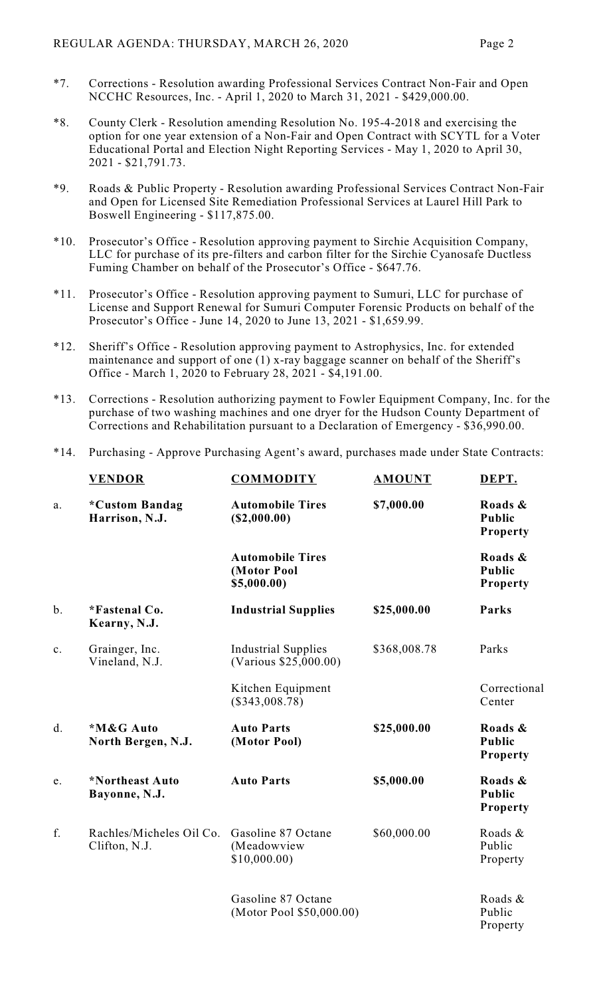- \*7. Corrections Resolution awarding Professional Services Contract Non-Fair and Open NCCHC Resources, Inc. - April 1, 2020 to March 31, 2021 - \$429,000.00.
- \*8. County Clerk Resolution amending Resolution No. 195-4-2018 and exercising the option for one year extension of a Non-Fair and Open Contract with SCYTL for a Voter Educational Portal and Election Night Reporting Services - May 1, 2020 to April 30, 2021 - \$21,791.73.
- \*9. Roads & Public Property Resolution awarding Professional Services Contract Non-Fair and Open for Licensed Site Remediation Professional Services at Laurel Hill Park to Boswell Engineering - \$117,875.00.
- \*10. Prosecutor's Office Resolution approving payment to Sirchie Acquisition Company, LLC for purchase of its pre-filters and carbon filter for the Sirchie Cyanosafe Ductless Fuming Chamber on behalf of the Prosecutor's Office - \$647.76.
- \*11. Prosecutor's Office Resolution approving payment to Sumuri, LLC for purchase of License and Support Renewal for Sumuri Computer Forensic Products on behalf of the Prosecutor's Office - June 14, 2020 to June 13, 2021 - \$1,659.99.
- \*12. Sheriff's Office Resolution approving payment to Astrophysics, Inc. for extended maintenance and support of one (1) x-ray baggage scanner on behalf of the Sheriff's Office - March 1, 2020 to February 28, 2021 - \$4,191.00.
- \*13. Corrections Resolution authorizing payment to Fowler Equipment Company, Inc. for the purchase of two washing machines and one dryer for the Hudson County Department of Corrections and Rehabilitation pursuant to a Declaration of Emergency - \$36,990.00.
- \*14. Purchasing Approve Purchasing Agent's award, purchases made under State Contracts:

|       | <b>VENDOR</b>                             | <b>COMMODITY</b>                                      | <b>AMOUNT</b> | DEPT.                                       |
|-------|-------------------------------------------|-------------------------------------------------------|---------------|---------------------------------------------|
| a.    | *Custom Bandag<br>Harrison, N.J.          | <b>Automobile Tires</b><br>(S2,000.00)                | \$7,000.00    | Roads &<br><b>Public</b><br><b>Property</b> |
|       |                                           | <b>Automobile Tires</b><br>(Motor Pool<br>\$5,000.00) |               | Roads &<br><b>Public</b><br><b>Property</b> |
| $b$ . | *Fastenal Co.<br>Kearny, N.J.             | <b>Industrial Supplies</b>                            | \$25,000.00   | Parks                                       |
| c.    | Grainger, Inc.<br>Vineland, N.J.          | <b>Industrial Supplies</b><br>(Various \$25,000.00)   | \$368,008.78  | Parks                                       |
|       |                                           | Kitchen Equipment<br>$(\$343,008.78)$                 |               | Correctional<br>Center                      |
| d.    | *M&G Auto<br>North Bergen, N.J.           | <b>Auto Parts</b><br>(Motor Pool)                     | \$25,000.00   | Roads &<br><b>Public</b><br><b>Property</b> |
| e.    | *Northeast Auto<br>Bayonne, N.J.          | <b>Auto Parts</b>                                     | \$5,000.00    | Roads &<br><b>Public</b><br><b>Property</b> |
| f.    | Rachles/Micheles Oil Co.<br>Clifton, N.J. | Gasoline 87 Octane<br>(Meadowview<br>\$10,000.00      | \$60,000.00   | Roads &<br>Public<br>Property               |
|       |                                           | Gasoline 87 Octane<br>(Motor Pool \$50,000.00)        |               | Roads &<br>Public<br>Property               |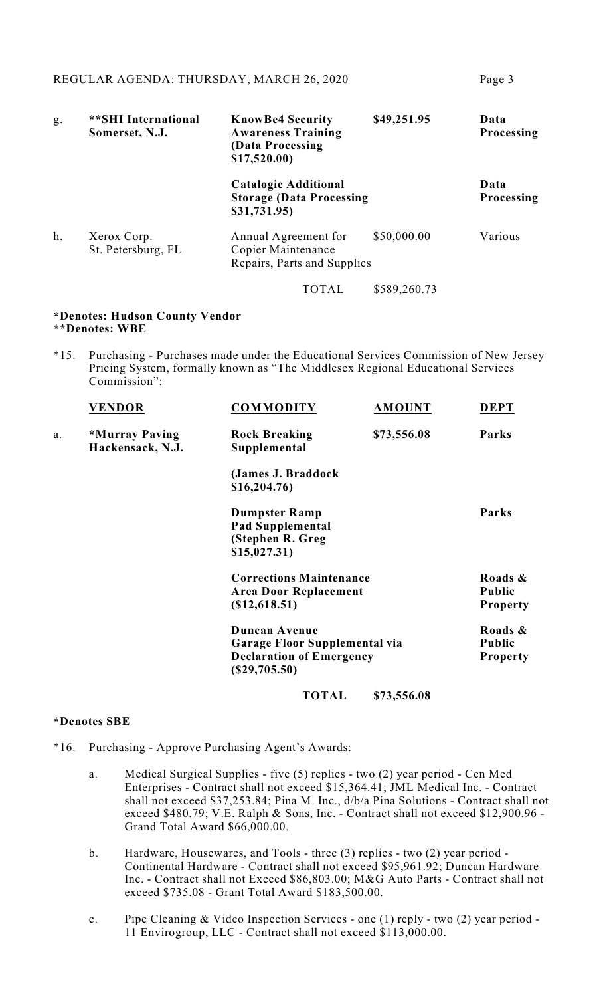| g. | <b>**SHI</b> International<br>Somerset, N.J. | <b>KnowBe4 Security</b><br><b>Awareness Training</b><br>(Data Processing)<br>\$17,520.00 | \$49,251.95  | Data<br><b>Processing</b> |
|----|----------------------------------------------|------------------------------------------------------------------------------------------|--------------|---------------------------|
|    |                                              | <b>Catalogic Additional</b><br><b>Storage (Data Processing</b><br>\$31,731.95)           |              | Data<br><b>Processing</b> |
| h. | Xerox Corp.<br>St. Petersburg, FL            | Annual Agreement for<br>Copier Maintenance<br>Repairs, Parts and Supplies                | \$50,000.00  | Various                   |
|    |                                              | TOTAL                                                                                    | \$589,260.73 |                           |

#### **\*Denotes: Hudson County Vendor \*\*Denotes: WBE**

\*15. Purchasing - Purchases made under the Educational Services Commission of New Jersey Pricing System, formally known as "The Middlesex Regional Educational Services Commission":

|    | <b>VENDOR</b>                      | <b>COMMODITY</b>                                                                                            | <b>AMOUNT</b> | <b>DEPT</b>                                 |
|----|------------------------------------|-------------------------------------------------------------------------------------------------------------|---------------|---------------------------------------------|
| a. | *Murray Paving<br>Hackensack, N.J. | <b>Rock Breaking</b><br>Supplemental                                                                        | \$73,556.08   | Parks                                       |
|    |                                    | (James J. Braddock<br>\$16,204.76                                                                           |               |                                             |
|    |                                    | <b>Dumpster Ramp</b><br><b>Pad Supplemental</b><br>(Stephen R. Greg<br>\$15,027.31)                         |               | Parks                                       |
|    |                                    | <b>Corrections Maintenance</b><br><b>Area Door Replacement</b><br>$(\$12,618.51)$                           |               | Roads &<br>Public<br><b>Property</b>        |
|    |                                    | <b>Duncan Avenue</b><br>Garage Floor Supplemental via<br><b>Declaration of Emergency</b><br>$(\$29,705.50)$ |               | Roads &<br><b>Public</b><br><b>Property</b> |
|    |                                    | <b>TOTAL</b>                                                                                                | \$73,556.08   |                                             |

### **\*Denotes SBE**

- \*16. Purchasing Approve Purchasing Agent's Awards:
	- a. Medical Surgical Supplies five (5) replies two (2) year period Cen Med Enterprises - Contract shall not exceed \$15,364.41; JML Medical Inc. - Contract shall not exceed \$37,253.84; Pina M. Inc., d/b/a Pina Solutions - Contract shall not exceed \$480.79; V.E. Ralph & Sons, Inc. - Contract shall not exceed \$12,900.96 - Grand Total Award \$66,000.00.
	- b. Hardware, Housewares, and Tools three (3) replies two (2) year period Continental Hardware - Contract shall not exceed \$95,961.92; Duncan Hardware Inc. - Contract shall not Exceed \$86,803.00; M&G Auto Parts - Contract shall not exceed \$735.08 - Grant Total Award \$183,500.00.
	- c. Pipe Cleaning & Video Inspection Services one (1) reply two (2) year period 11 Envirogroup, LLC - Contract shall not exceed \$113,000.00.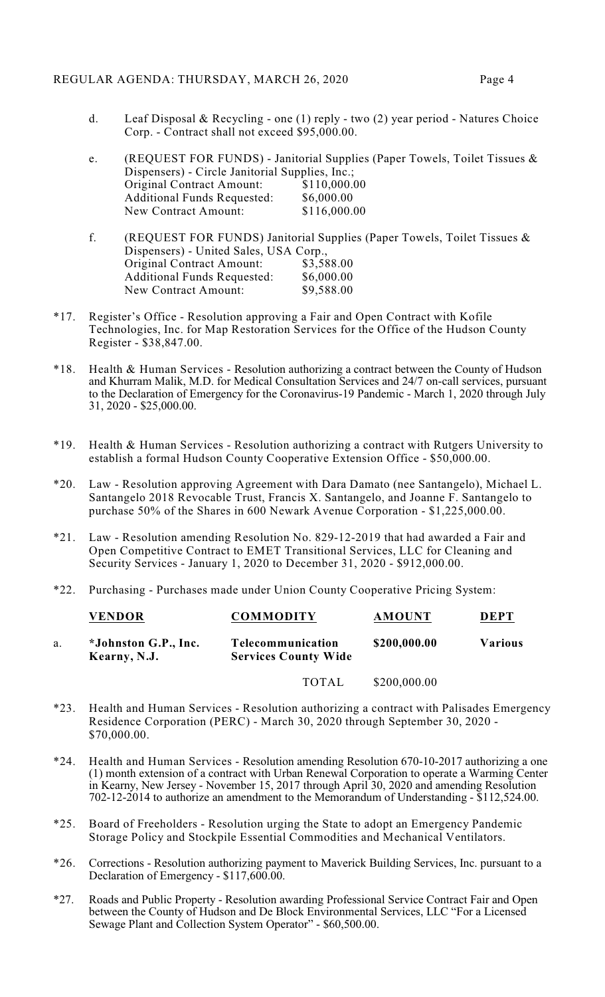#### REGULAR AGENDA: THURSDAY, MARCH 26, 2020 Page 4

d. Leaf Disposal & Recycling - one (1) reply - two (2) year period - Natures Choice Corp. - Contract shall not exceed \$95,000.00.

| e. |                                                 | (REQUEST FOR FUNDS) - Janitorial Supplies (Paper Towels, Toilet Tissues & |
|----|-------------------------------------------------|---------------------------------------------------------------------------|
|    | Dispensers) - Circle Janitorial Supplies, Inc.; |                                                                           |
|    | Original Contract Amount:                       | \$110,000.00                                                              |
|    | <b>Additional Funds Requested:</b>              | \$6,000.00                                                                |
|    | New Contract Amount:                            | \$116,000.00                                                              |
|    |                                                 |                                                                           |

- f. (REQUEST FOR FUNDS) Janitorial Supplies (Paper Towels, Toilet Tissues & Dispensers) - United Sales, USA Corp.,<br>Original Contract Amount: \$3,588.00 Original Contract Amount: Additional Funds Requested: \$6,000.00<br>New Contract Amount: \$9,588.00 New Contract Amount:
- \*17. Register's Office Resolution approving a Fair and Open Contract with Kofile Technologies, Inc. for Map Restoration Services for the Office of the Hudson County Register - \$38,847.00.
- \*18. Health & Human Services Resolution authorizing a contract between the County of Hudson and Khurram Malik, M.D. for Medical Consultation Services and 24/7 on-call services, pursuant to the Declaration of Emergency for the Coronavirus-19 Pandemic - March 1, 2020 through July 31, 2020 - \$25,000.00.
- \*19. Health & Human Services Resolution authorizing a contract with Rutgers University to establish a formal Hudson County Cooperative Extension Office - \$50,000.00.
- \*20. Law Resolution approving Agreement with Dara Damato (nee Santangelo), Michael L. Santangelo 2018 Revocable Trust, Francis X. Santangelo, and Joanne F. Santangelo to purchase 50% of the Shares in 600 Newark Avenue Corporation - \$1,225,000.00.
- \*21. Law Resolution amending Resolution No. 829-12-2019 that had awarded a Fair and Open Competitive Contract to EMET Transitional Services, LLC for Cleaning and Security Services - January 1, 2020 to December 31, 2020 - \$912,000.00.
- \*22. Purchasing Purchases made under Union County Cooperative Pricing System:

| <b>VENDOR</b>                        | <b>COMMODITY</b>                                 | <b>AMOUNT</b> | <b>DEPT</b>    |
|--------------------------------------|--------------------------------------------------|---------------|----------------|
| *Johnston G.P., Inc.<br>Kearny, N.J. | Telecommunication<br><b>Services County Wide</b> | \$200,000.00  | <b>Various</b> |

- TOTAL \$200,000.00
- \*23. Health and Human Services Resolution authorizing a contract with Palisades Emergency Residence Corporation (PERC) - March 30, 2020 through September 30, 2020 - \$70,000.00.
- \*24. Health and Human Services Resolution amending Resolution 670-10-2017 authorizing a one (1) month extension of a contract with Urban Renewal Corporation to operate a Warming Center in Kearny, New Jersey - November 15, 2017 through April 30, 2020 and amending Resolution 702-12-2014 to authorize an amendment to the Memorandum of Understanding - \$112,524.00.
- \*25. Board of Freeholders Resolution urging the State to adopt an Emergency Pandemic Storage Policy and Stockpile Essential Commodities and Mechanical Ventilators.
- \*26. Corrections Resolution authorizing payment to Maverick Building Services, Inc. pursuant to a Declaration of Emergency - \$117,600.00.
- \*27. Roads and Public Property Resolution awarding Professional Service Contract Fair and Open between the County of Hudson and De Block Environmental Services, LLC "For a Licensed Sewage Plant and Collection System Operator" - \$60,500.00.